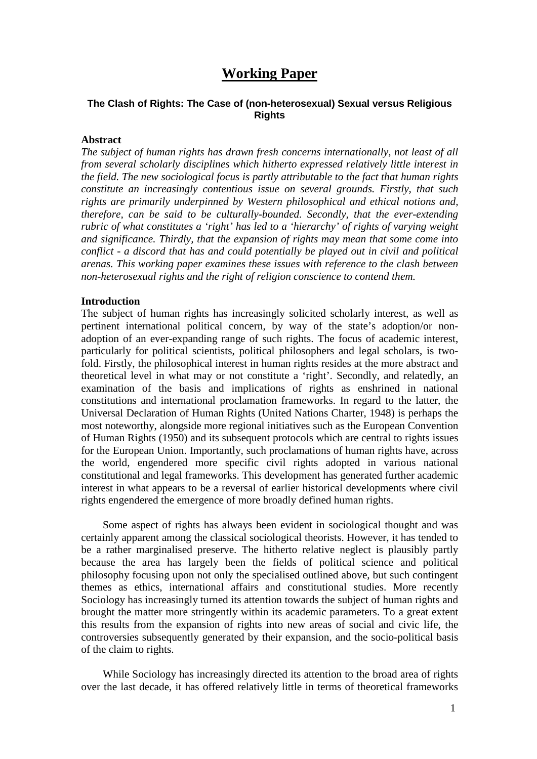# **Working Paper**

# **The Clash of Rights: The Case of (non-heterosexual) Sexual versus Religious Rights**

### **Abstract**

*The subject of human rights has drawn fresh concerns internationally, not least of all from several scholarly disciplines which hitherto expressed relatively little interest in the field. The new sociological focus is partly attributable to the fact that human rights constitute an increasingly contentious issue on several grounds. Firstly, that such rights are primarily underpinned by Western philosophical and ethical notions and, therefore, can be said to be culturally-bounded. Secondly, that the ever-extending rubric of what constitutes a 'right' has led to a 'hierarchy' of rights of varying weight and significance. Thirdly, that the expansion of rights may mean that some come into conflict - a discord that has and could potentially be played out in civil and political arenas. This working paper examines these issues with reference to the clash between non-heterosexual rights and the right of religion conscience to contend them.* 

### **Introduction**

The subject of human rights has increasingly solicited scholarly interest, as well as pertinent international political concern, by way of the state's adoption/or nonadoption of an ever-expanding range of such rights. The focus of academic interest, particularly for political scientists, political philosophers and legal scholars, is twofold. Firstly, the philosophical interest in human rights resides at the more abstract and theoretical level in what may or not constitute a 'right'. Secondly, and relatedly, an examination of the basis and implications of rights as enshrined in national constitutions and international proclamation frameworks. In regard to the latter, the Universal Declaration of Human Rights (United Nations Charter, 1948) is perhaps the most noteworthy, alongside more regional initiatives such as the European Convention of Human Rights (1950) and its subsequent protocols which are central to rights issues for the European Union. Importantly, such proclamations of human rights have, across the world, engendered more specific civil rights adopted in various national constitutional and legal frameworks. This development has generated further academic interest in what appears to be a reversal of earlier historical developments where civil rights engendered the emergence of more broadly defined human rights.

 Some aspect of rights has always been evident in sociological thought and was certainly apparent among the classical sociological theorists. However, it has tended to be a rather marginalised preserve. The hitherto relative neglect is plausibly partly because the area has largely been the fields of political science and political philosophy focusing upon not only the specialised outlined above, but such contingent themes as ethics, international affairs and constitutional studies. More recently Sociology has increasingly turned its attention towards the subject of human rights and brought the matter more stringently within its academic parameters. To a great extent this results from the expansion of rights into new areas of social and civic life, the controversies subsequently generated by their expansion, and the socio-political basis of the claim to rights.

 While Sociology has increasingly directed its attention to the broad area of rights over the last decade, it has offered relatively little in terms of theoretical frameworks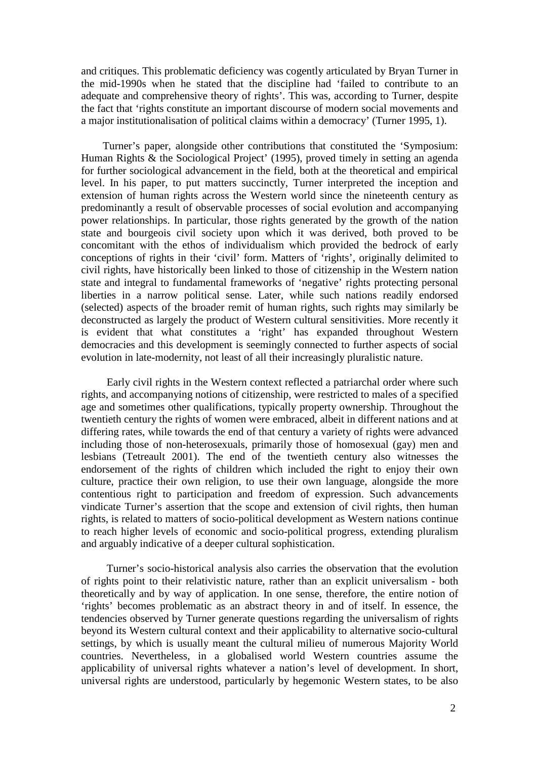and critiques. This problematic deficiency was cogently articulated by Bryan Turner in the mid-1990s when he stated that the discipline had 'failed to contribute to an adequate and comprehensive theory of rights'. This was, according to Turner, despite the fact that 'rights constitute an important discourse of modern social movements and a major institutionalisation of political claims within a democracy' (Turner 1995, 1).

 Turner's paper, alongside other contributions that constituted the 'Symposium: Human Rights & the Sociological Project' (1995), proved timely in setting an agenda for further sociological advancement in the field, both at the theoretical and empirical level. In his paper, to put matters succinctly, Turner interpreted the inception and extension of human rights across the Western world since the nineteenth century as predominantly a result of observable processes of social evolution and accompanying power relationships. In particular, those rights generated by the growth of the nation state and bourgeois civil society upon which it was derived, both proved to be concomitant with the ethos of individualism which provided the bedrock of early conceptions of rights in their 'civil' form. Matters of 'rights', originally delimited to civil rights, have historically been linked to those of citizenship in the Western nation state and integral to fundamental frameworks of 'negative' rights protecting personal liberties in a narrow political sense. Later, while such nations readily endorsed (selected) aspects of the broader remit of human rights, such rights may similarly be deconstructed as largely the product of Western cultural sensitivities. More recently it is evident that what constitutes a 'right' has expanded throughout Western democracies and this development is seemingly connected to further aspects of social evolution in late-modernity, not least of all their increasingly pluralistic nature.

Early civil rights in the Western context reflected a patriarchal order where such rights, and accompanying notions of citizenship, were restricted to males of a specified age and sometimes other qualifications, typically property ownership. Throughout the twentieth century the rights of women were embraced, albeit in different nations and at differing rates, while towards the end of that century a variety of rights were advanced including those of non-heterosexuals, primarily those of homosexual (gay) men and lesbians (Tetreault 2001). The end of the twentieth century also witnesses the endorsement of the rights of children which included the right to enjoy their own culture, practice their own religion, to use their own language, alongside the more contentious right to participation and freedom of expression. Such advancements vindicate Turner's assertion that the scope and extension of civil rights, then human rights, is related to matters of socio-political development as Western nations continue to reach higher levels of economic and socio-political progress, extending pluralism and arguably indicative of a deeper cultural sophistication.

Turner's socio-historical analysis also carries the observation that the evolution of rights point to their relativistic nature, rather than an explicit universalism - both theoretically and by way of application. In one sense, therefore, the entire notion of 'rights' becomes problematic as an abstract theory in and of itself. In essence, the tendencies observed by Turner generate questions regarding the universalism of rights beyond its Western cultural context and their applicability to alternative socio-cultural settings, by which is usually meant the cultural milieu of numerous Majority World countries. Nevertheless, in a globalised world Western countries assume the applicability of universal rights whatever a nation's level of development. In short, universal rights are understood, particularly by hegemonic Western states, to be also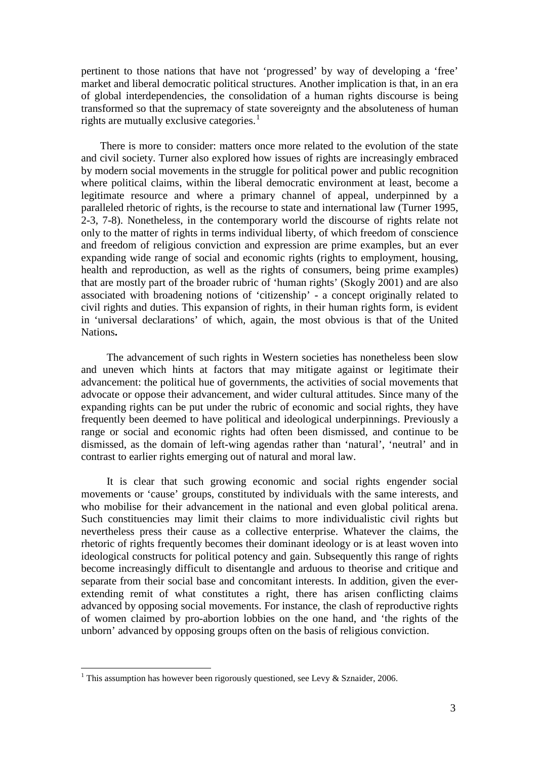pertinent to those nations that have not 'progressed' by way of developing a 'free' market and liberal democratic political structures. Another implication is that, in an era of global interdependencies, the consolidation of a human rights discourse is being transformed so that the supremacy of state sovereignty and the absoluteness of human rights are mutually exclusive categories.<sup>[1](#page-2-0)</sup>

 There is more to consider: matters once more related to the evolution of the state and civil society. Turner also explored how issues of rights are increasingly embraced by modern social movements in the struggle for political power and public recognition where political claims, within the liberal democratic environment at least, become a legitimate resource and where a primary channel of appeal, underpinned by a paralleled rhetoric of rights, is the recourse to state and international law (Turner 1995, 2-3, 7-8). Nonetheless, in the contemporary world the discourse of rights relate not only to the matter of rights in terms individual liberty, of which freedom of conscience and freedom of religious conviction and expression are prime examples, but an ever expanding wide range of social and economic rights (rights to employment, housing, health and reproduction, as well as the rights of consumers, being prime examples) that are mostly part of the broader rubric of 'human rights' (Skogly 2001) and are also associated with broadening notions of 'citizenship' - a concept originally related to civil rights and duties. This expansion of rights, in their human rights form, is evident in 'universal declarations' of which, again, the most obvious is that of the United Nations**.**

The advancement of such rights in Western societies has nonetheless been slow and uneven which hints at factors that may mitigate against or legitimate their advancement: the political hue of governments, the activities of social movements that advocate or oppose their advancement, and wider cultural attitudes. Since many of the expanding rights can be put under the rubric of economic and social rights, they have frequently been deemed to have political and ideological underpinnings. Previously a range or social and economic rights had often been dismissed, and continue to be dismissed, as the domain of left-wing agendas rather than 'natural', 'neutral' and in contrast to earlier rights emerging out of natural and moral law.

It is clear that such growing economic and social rights engender social movements or 'cause' groups, constituted by individuals with the same interests, and who mobilise for their advancement in the national and even global political arena. Such constituencies may limit their claims to more individualistic civil rights but nevertheless press their cause as a collective enterprise. Whatever the claims, the rhetoric of rights frequently becomes their dominant ideology or is at least woven into ideological constructs for political potency and gain. Subsequently this range of rights become increasingly difficult to disentangle and arduous to theorise and critique and separate from their social base and concomitant interests. In addition, given the everextending remit of what constitutes a right, there has arisen conflicting claims advanced by opposing social movements. For instance, the clash of reproductive rights of women claimed by pro-abortion lobbies on the one hand, and 'the rights of the unborn' advanced by opposing groups often on the basis of religious conviction.

<span id="page-2-0"></span><sup>&</sup>lt;sup>1</sup> This assumption has however been rigorously questioned, see Levy & Sznaider, 2006.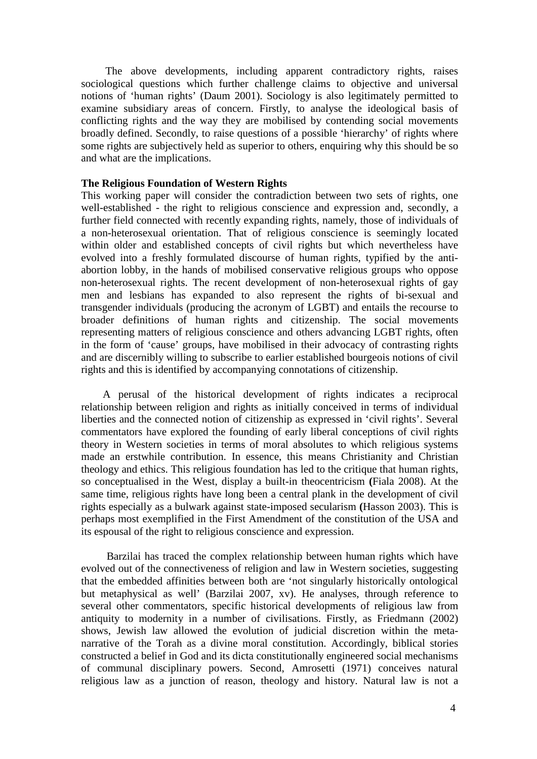The above developments, including apparent contradictory rights, raises sociological questions which further challenge claims to objective and universal notions of 'human rights' (Daum 2001). Sociology is also legitimately permitted to examine subsidiary areas of concern. Firstly, to analyse the ideological basis of conflicting rights and the way they are mobilised by contending social movements broadly defined. Secondly, to raise questions of a possible 'hierarchy' of rights where some rights are subjectively held as superior to others, enquiring why this should be so and what are the implications.

## **The Religious Foundation of Western Rights**

This working paper will consider the contradiction between two sets of rights, one well-established - the right to religious conscience and expression and, secondly, a further field connected with recently expanding rights, namely, those of individuals of a non-heterosexual orientation. That of religious conscience is seemingly located within older and established concepts of civil rights but which nevertheless have evolved into a freshly formulated discourse of human rights, typified by the antiabortion lobby, in the hands of mobilised conservative religious groups who oppose non-heterosexual rights. The recent development of non-heterosexual rights of gay men and lesbians has expanded to also represent the rights of bi-sexual and transgender individuals (producing the acronym of LGBT) and entails the recourse to broader definitions of human rights and citizenship. The social movements representing matters of religious conscience and others advancing LGBT rights, often in the form of 'cause' groups, have mobilised in their advocacy of contrasting rights and are discernibly willing to subscribe to earlier established bourgeois notions of civil rights and this is identified by accompanying connotations of citizenship.

 A perusal of the historical development of rights indicates a reciprocal relationship between religion and rights as initially conceived in terms of individual liberties and the connected notion of citizenship as expressed in 'civil rights'. Several commentators have explored the founding of early liberal conceptions of civil rights theory in Western societies in terms of moral absolutes to which religious systems made an erstwhile contribution. In essence, this means Christianity and Christian theology and ethics. This religious foundation has led to the critique that human rights, so conceptualised in the West, display a built-in theocentricism **(**Fiala 2008). At the same time, religious rights have long been a central plank in the development of civil rights especially as a bulwark against state-imposed secularism **(**Hasson 2003). This is perhaps most exemplified in the First Amendment of the constitution of the USA and its espousal of the right to religious conscience and expression.

Barzilai has traced the complex relationship between human rights which have evolved out of the connectiveness of religion and law in Western societies, suggesting that the embedded affinities between both are 'not singularly historically ontological but metaphysical as well' (Barzilai 2007, xv). He analyses, through reference to several other commentators, specific historical developments of religious law from antiquity to modernity in a number of civilisations. Firstly, as Friedmann (2002) shows, Jewish law allowed the evolution of judicial discretion within the metanarrative of the Torah as a divine moral constitution. Accordingly, biblical stories constructed a belief in God and its dicta constitutionally engineered social mechanisms of communal disciplinary powers. Second, Amrosetti (1971) conceives natural religious law as a junction of reason, theology and history. Natural law is not a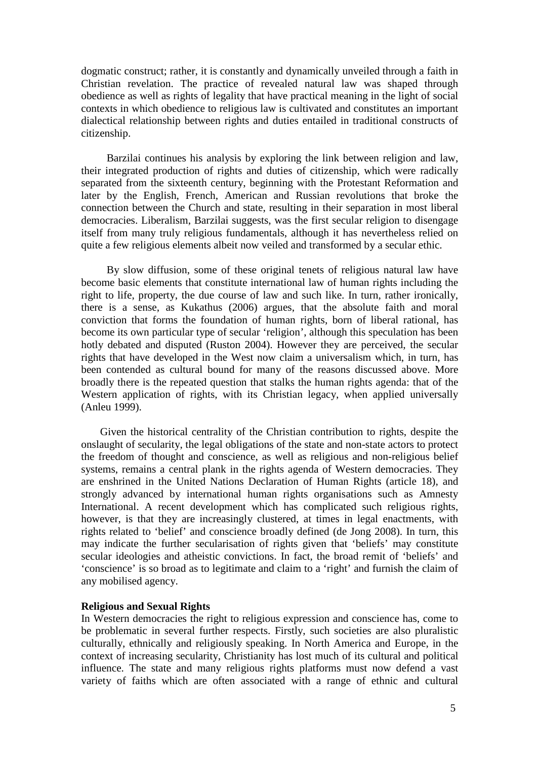dogmatic construct; rather, it is constantly and dynamically unveiled through a faith in Christian revelation. The practice of revealed natural law was shaped through obedience as well as rights of legality that have practical meaning in the light of social contexts in which obedience to religious law is cultivated and constitutes an important dialectical relationship between rights and duties entailed in traditional constructs of citizenship.

Barzilai continues his analysis by exploring the link between religion and law, their integrated production of rights and duties of citizenship, which were radically separated from the sixteenth century, beginning with the Protestant Reformation and later by the English, French, American and Russian revolutions that broke the connection between the Church and state, resulting in their separation in most liberal democracies. Liberalism, Barzilai suggests, was the first secular religion to disengage itself from many truly religious fundamentals, although it has nevertheless relied on quite a few religious elements albeit now veiled and transformed by a secular ethic.

By slow diffusion, some of these original tenets of religious natural law have become basic elements that constitute international law of human rights including the right to life, property, the due course of law and such like. In turn, rather ironically, there is a sense, as Kukathus (2006) argues, that the absolute faith and moral conviction that forms the foundation of human rights, born of liberal rational, has become its own particular type of secular 'religion', although this speculation has been hotly debated and disputed (Ruston 2004). However they are perceived, the secular rights that have developed in the West now claim a universalism which, in turn, has been contended as cultural bound for many of the reasons discussed above. More broadly there is the repeated question that stalks the human rights agenda: that of the Western application of rights, with its Christian legacy, when applied universally (Anleu 1999).

Given the historical centrality of the Christian contribution to rights, despite the onslaught of secularity, the legal obligations of the state and non-state actors to protect the freedom of thought and conscience, as well as religious and non-religious belief systems, remains a central plank in the rights agenda of Western democracies. They are enshrined in the United Nations Declaration of Human Rights (article 18), and strongly advanced by international human rights organisations such as Amnesty International. A recent development which has complicated such religious rights, however, is that they are increasingly clustered, at times in legal enactments, with rights related to 'belief' and conscience broadly defined (de Jong 2008). In turn, this may indicate the further secularisation of rights given that 'beliefs' may constitute secular ideologies and atheistic convictions. In fact, the broad remit of 'beliefs' and 'conscience' is so broad as to legitimate and claim to a 'right' and furnish the claim of any mobilised agency.

# **Religious and Sexual Rights**

In Western democracies the right to religious expression and conscience has, come to be problematic in several further respects. Firstly, such societies are also pluralistic culturally, ethnically and religiously speaking. In North America and Europe, in the context of increasing secularity, Christianity has lost much of its cultural and political influence. The state and many religious rights platforms must now defend a vast variety of faiths which are often associated with a range of ethnic and cultural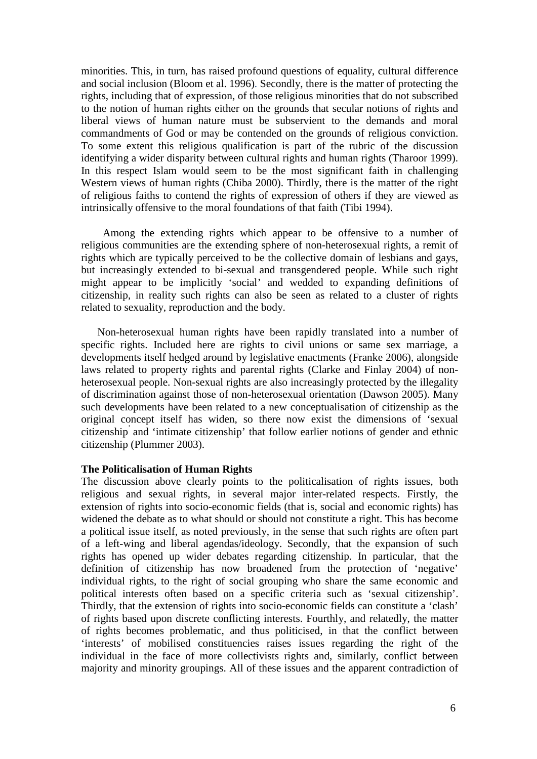minorities. This, in turn, has raised profound questions of equality, cultural difference and social inclusion [\(Bloom](http://www.questia.com/SM.qst?act=adv&contributors=Irene%20Bloom&dcontributors=Irene%20Bloom) et al. 1996)*.* Secondly, there is the matter of protecting the rights, including that of expression, of those religious minorities that do not subscribed to the notion of human rights either on the grounds that secular notions of rights and liberal views of human nature must be subservient to the demands and moral commandments of God or may be contended on the grounds of religious conviction. To some extent this religious qualification is part of the rubric of the discussion identifying a wider disparity between cultural rights and human rights (Tharoor 1999). In this respect Islam would seem to be the most significant faith in challenging Western views of human rights [\(Chiba](http://www.questia.com/SM.qst?act=adv&contributors=Masaji%20Chiba&dcontributors=Masaji%20Chiba) 2000). Thirdly, there is the matter of the right of religious faiths to contend the rights of expression of others if they are viewed as intrinsically offensive to the moral foundations of that faith (Tibi 1994).

 Among the extending rights which appear to be offensive to a number of religious communities are the extending sphere of non-heterosexual rights, a remit of rights which are typically perceived to be the collective domain of lesbians and gays, but increasingly extended to bi-sexual and transgendered people. While such right might appear to be implicitly 'social' and wedded to expanding definitions of citizenship, in reality such rights can also be seen as related to a cluster of rights related to sexuality, reproduction and the body.

Non-heterosexual human rights have been rapidly translated into a number of specific rights. Included here are rights to civil unions or same sex marriage, a developments itself hedged around by legislative enactments (Franke 2006), alongside laws related to property rights and parental rights (Clarke and Finlay 2004) of nonheterosexual people. Non-sexual rights are also increasingly protected by the illegality of discrimination against those of non-heterosexual orientation (Dawson 2005). Many such developments have been related to a new conceptualisation of citizenship as the original concept itself has widen, so there now exist the dimensions of 'sexual citizenship' and 'intimate citizenship' that follow earlier notions of gender and ethnic citizenship (Plummer 2003).

#### **The Politicalisation of Human Rights**

The discussion above clearly points to the politicalisation of rights issues, both religious and sexual rights, in several major inter-related respects. Firstly, the extension of rights into socio-economic fields (that is, social and economic rights) has widened the debate as to what should or should not constitute a right. This has become a political issue itself, as noted previously, in the sense that such rights are often part of a left-wing and liberal agendas/ideology. Secondly, that the expansion of such rights has opened up wider debates regarding citizenship. In particular, that the definition of citizenship has now broadened from the protection of 'negative' individual rights, to the right of social grouping who share the same economic and political interests often based on a specific criteria such as 'sexual citizenship'. Thirdly, that the extension of rights into socio-economic fields can constitute a 'clash' of rights based upon discrete conflicting interests. Fourthly, and relatedly, the matter of rights becomes problematic, and thus politicised, in that the conflict between 'interests' of mobilised constituencies raises issues regarding the right of the individual in the face of more collectivists rights and, similarly, conflict between majority and minority groupings. All of these issues and the apparent contradiction of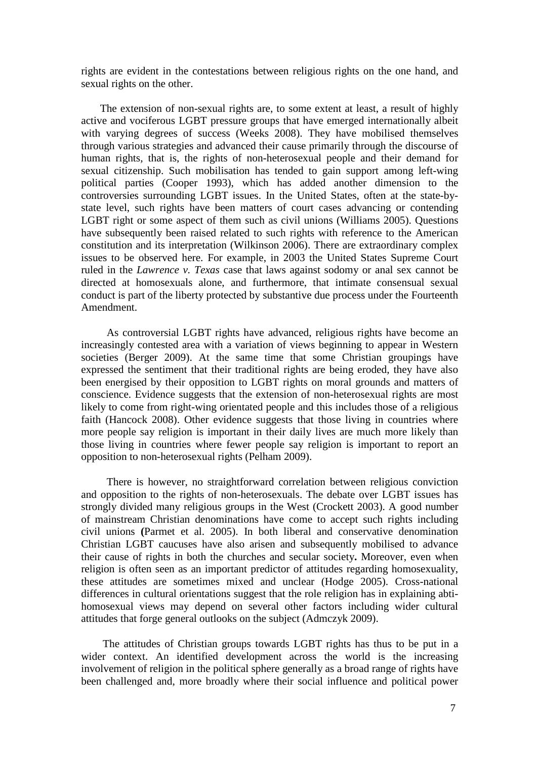rights are evident in the contestations between religious rights on the one hand, and sexual rights on the other.

 The extension of non-sexual rights are, to some extent at least, a result of highly active and vociferous LGBT pressure groups that have emerged internationally albeit with varying degrees of success (Weeks 2008). They have mobilised themselves through various strategies and advanced their cause primarily through the discourse of human rights, that is, the rights of non-heterosexual people and their demand for sexual citizenship. Such mobilisation has tended to gain support among left-wing political parties (Cooper 1993), which has added another dimension to the controversies surrounding LGBT issues. In the United States, often at the state-bystate level, such rights have been matters of court cases advancing or contending LGBT right or some aspect of them such as civil unions (Williams 2005). Questions have subsequently been raised related to such rights with reference to the American constitution and its interpretation (Wilkinson 2006). There are extraordinary complex issues to be observed here. For example, in 2003 the United States Supreme Court ruled in the *[Lawrence v. Texas](http://en.wikipedia.org/wiki/Lawrence_v._Texas)* case that laws against [sodomy](http://en.wikipedia.org/wiki/Sodomy) or [anal sex](http://en.wikipedia.org/wiki/Anal_sex) cannot be directed at homosexuals alone, and furthermore, that intimate consensual sexual conduct is part of the liberty protected by substantive [due process](http://en.wikipedia.org/wiki/Due_process) under the [Fourteenth](http://en.wikipedia.org/wiki/Fourteenth_Amendment_to_the_United_States_Constitution)  [Amendment.](http://en.wikipedia.org/wiki/Fourteenth_Amendment_to_the_United_States_Constitution)

As controversial LGBT rights have advanced, religious rights have become an increasingly contested area with a variation of views beginning to appear in Western societies (Berger 2009). At the same time that some Christian groupings have expressed the sentiment that their traditional rights are being eroded, they have also been energised by their opposition to LGBT rights on moral grounds and matters of conscience. Evidence suggests that the extension of non-heterosexual rights are most likely to come from right-wing orientated people and this includes those of a religious faith (Hancock 2008). Other evidence suggests that those living in countries where more people say religion is important in their daily lives are much more likely than those living in countries where fewer people say religion is important to report an opposition to non-heterosexual rights (Pelham 2009).

There is however, no straightforward correlation between religious conviction and opposition to the rights of non-heterosexuals. The debate over LGBT issues has strongly divided many religious groups in the West (Crockett 2003). A good number of mainstream Christian denominations have come to accept such rights including civil unions **(**Parmet et al. 2005). In both liberal and conservative denomination Christian LGBT caucuses have also arisen and subsequently mobilised to advance their cause of rights in both the churches and secular society**.** Moreover, even when religion is often seen as an important predictor of attitudes regarding homosexuality, these attitudes are sometimes mixed and unclear [\(Hodge](http://www.questia.com/SM.qst?act=adv&contributors=David%20R.%20Hodge&dcontributors=David%20R.%20Hodge) 2005). Cross-national differences in cultural orientations suggest that the role religion has in explaining abtihomosexual views may depend on several other factors including wider cultural attitudes that forge general outlooks on the subject (Admczyk 2009).

 The attitudes of Christian groups towards LGBT rights has thus to be put in a wider context. An identified development across the world is the increasing involvement of religion in the political sphere generally as a broad range of rights have been challenged and, more broadly where their social influence and political power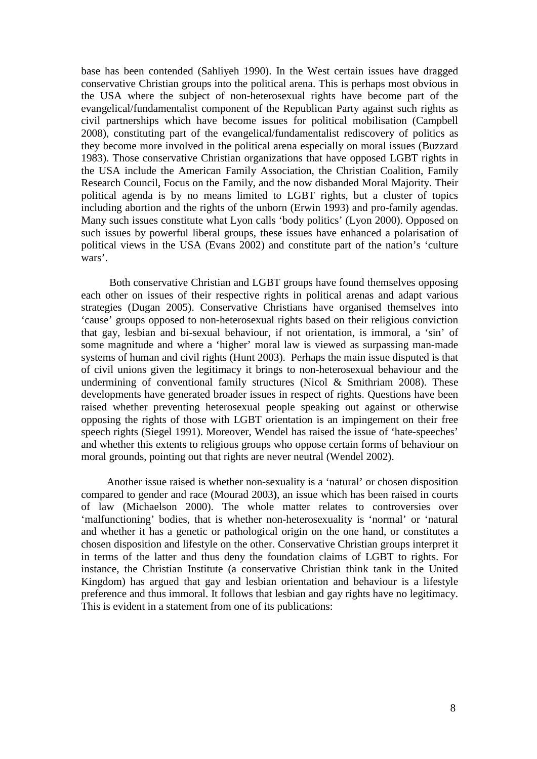base has been contended (Sahliyeh 1990). In the West certain issues have dragged conservative Christian groups into the political arena. This is perhaps most obvious in the USA where the subject of non-heterosexual rights have become part of the evangelical/fundamentalist component of the Republican Party against such rights as civil partnerships which have become issues for political mobilisation (Campbell 2008), constituting part of the evangelical/fundamentalist rediscovery of politics as they become more involved in the political arena especially on moral issues (Buzzard 1983). Those conservative Christian organizations that have opposed LGBT rights in the USA include the [American Family Association,](http://en.wikipedia.org/wiki/American_Family_Association) the [Christian Coalition,](http://en.wikipedia.org/wiki/Christian_Coalition_of_America) [Family](http://en.wikipedia.org/wiki/Family_Research_Council)  [Research Council,](http://en.wikipedia.org/wiki/Family_Research_Council) [Focus on the Family,](http://en.wikipedia.org/wiki/Focus_on_the_Family) and the now disbanded [Moral Majority.](http://en.wikipedia.org/wiki/Moral_Majority) Their political agenda is by no means limited to LGBT rights, but a cluster of topics including abortion and the rights of the unborn (Erwin 1993) and pro-family agendas. Many such issues constitute what Lyon calls 'body politics' (Lyon 2000). Opposed on such issues by powerful liberal groups, these issues have enhanced a polarisation of political views in the USA (Evans 2002) and constitute part of the nation's 'culture wars'.

Both conservative Christian and LGBT groups have found themselves opposing each other on issues of their respective rights in political arenas and adapt various strategies (Dugan 2005). Conservative Christians have organised themselves into 'cause' groups opposed to non-heterosexual rights based on their religious conviction that gay, lesbian and bi-sexual behaviour, if not orientation, is immoral, a 'sin' of some magnitude and where a 'higher' moral law is viewed as surpassing man-made systems of human and civil rights (Hunt 2003). Perhaps the main issue disputed is that of civil unions given the legitimacy it brings to non-heterosexual behaviour and the undermining of conventional family structures (Nicol  $&$  Smithriam 2008). These developments have generated broader issues in respect of rights. Questions have been raised whether preventing heterosexual people speaking out against or otherwise opposing the rights of those with LGBT orientation is an impingement on their free speech rights (Siegel 1991). Moreover, Wendel has raised the issue of 'hate-speeches' and whether this extents to religious groups who oppose certain forms of behaviour on moral grounds, pointing out that rights are never neutral (Wendel 2002).

Another issue raised is whether non-sexuality is a 'natural' or chosen disposition compared to gender and race (Mourad 2003**)**, an issue which has been raised in courts of law (Michaelson 2000). The whole matter relates to controversies over 'malfunctioning' bodies, that is whether non-heterosexuality is 'normal' or 'natural and whether it has a genetic or pathological origin on the one hand, or constitutes a chosen disposition and lifestyle on the other. Conservative Christian groups interpret it in terms of the latter and thus deny the foundation claims of LGBT to rights. For instance, the Christian Institute (a conservative Christian think tank in the United Kingdom) has argued that gay and lesbian orientation and behaviour is a lifestyle preference and thus immoral. It follows that lesbian and gay rights have no legitimacy. This is evident in a statement from one of its publications: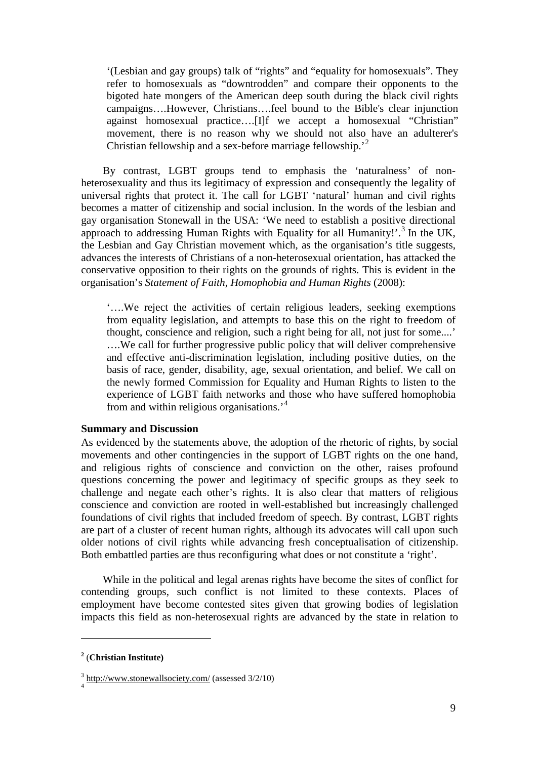'(Lesbian and gay groups) talk of "rights" and "equality for homosexuals". They refer to homosexuals as "downtrodden" and compare their opponents to the bigoted hate mongers of the American deep south during the black civil rights campaigns….However, Christians….feel bound to the Bible's clear injunction against homosexual practice….[I]f we accept a homosexual "Christian" movement, there is no reason why we should not also have an adulterer's Christian fellowship and a sex-before marriage fellowship.'[2](#page-8-0)

 By contrast, LGBT groups tend to emphasis the 'naturalness' of nonheterosexuality and thus its legitimacy of expression and consequently the legality of universal rights that protect it. The call for LGBT 'natural' human and civil rights becomes a matter of citizenship and social inclusion. In the words of the lesbian and gay organisation Stonewall in the USA: 'We need to establish a positive directional approach to addressing Human Rights with Equality for all Humanity!'.<sup>[3](#page-8-1)</sup> In the UK, the Lesbian and Gay Christian movement which, as the organisation's title suggests, advances the interests of Christians of a non-heterosexual orientation, has attacked the conservative opposition to their rights on the grounds of rights. This is evident in the organisation's *Statement of Faith, Homophobia and Human Rights* (2008):

'….We reject the activities of certain religious leaders, seeking exemptions from equality legislation, and attempts to base this on the right to freedom of thought, conscience and religion, such a right being for all, not just for some....' ….We call for further progressive public policy that will deliver comprehensive and effective anti-discrimination legislation, including positive duties, on the basis of race, gender, disability, age, sexual orientation, and belief. We call on the newly formed Commission for Equality and Human Rights to listen to the experience of LGBT faith networks and those who have suffered homophobia from and within religious organisations.'[4](#page-8-2)

## **Summary and Discussion**

As evidenced by the statements above, the adoption of the rhetoric of rights, by social movements and other contingencies in the support of LGBT rights on the one hand, and religious rights of conscience and conviction on the other, raises profound questions concerning the power and legitimacy of specific groups as they seek to challenge and negate each other's rights. It is also clear that matters of religious conscience and conviction are rooted in well-established but increasingly challenged foundations of civil rights that included freedom of speech. By contrast, LGBT rights are part of a cluster of recent human rights, although its advocates will call upon such older notions of civil rights while advancing fresh conceptualisation of citizenship. Both embattled parties are thus reconfiguring what does or not constitute a 'right'.

 While in the political and legal arenas rights have become the sites of conflict for contending groups, such conflict is not limited to these contexts. Places of employment have become contested sites given that growing bodies of legislation impacts this field as non-heterosexual rights are advanced by the state in relation to

<u>.</u>

<span id="page-8-0"></span>**<sup>2</sup>** (**Christian Institute)**

<span id="page-8-2"></span><span id="page-8-1"></span> $\frac{3}{4}$  <http://www.stonewallsociety.com/> (assessed 3/2/10)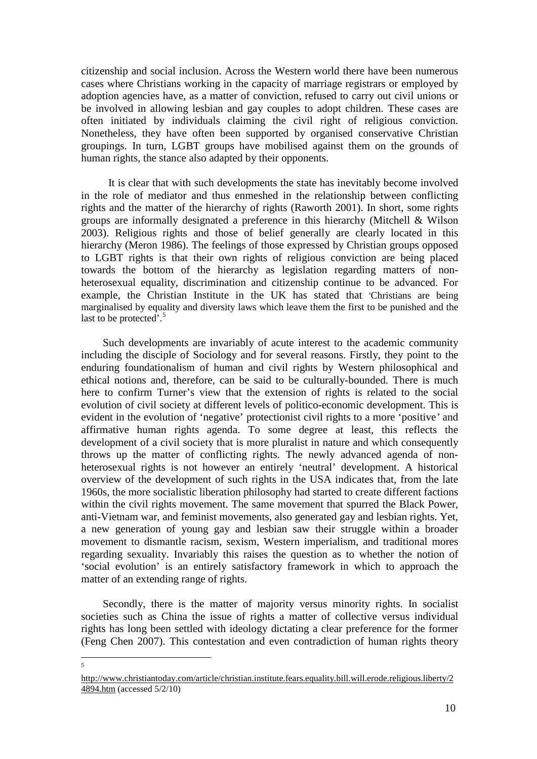citizenship and social inclusion. Across the Western world there have been numerous cases where Christians working in the capacity of marriage registrars or employed by adoption agencies have, as a matter of conviction, refused to carry out civil unions or be involved in allowing lesbian and gay couples to adopt children. These cases are often initiated by individuals claiming the civil right of religious conviction. Nonetheless, they have often been supported by organised conservative Christian groupings. In turn, LGBT groups have mobilised against them on the grounds of human rights, the stance also adapted by their opponents.

 It is clear that with such developments the state has inevitably become involved in the role of mediator and thus enmeshed in the relationship between conflicting rights and the matter of the hierarchy of rights [\(Raworth](http://www.questia.com/SM.qst?act=adv&contributors=Kate%20Raworth&dcontributors=Kate%20Raworth) 2001). In short, some rights groups are informally designated a preference in this hierarchy [\(Mitchell](http://www.questia.com/SM.qst?act=adv&contributors=Jon%20P.%20Mitchell&dcontributors=Jon%20P.%20Mitchell) [& Wilson](http://www.questia.com/SM.qst?act=adv&contributors=Richard%20Ashby%20Wilson&dcontributors=Richard%20Ashby%20Wilson) 2003). Religious rights and those of belief generally are clearly located in this hierarchy (Meron 1986). The feelings of those expressed by Christian groups opposed to LGBT rights is that their own rights of religious conviction are being placed towards the bottom of the hierarchy as legislation regarding matters of nonheterosexual equality, discrimination and citizenship continue to be advanced. For example, the Christian Institute in the UK has stated that 'Christians are being marginalised by equality and diversity laws which leave them the first to be punished and the last to be protected'.<sup>[5](#page-9-0)</sup>

 Such developments are invariably of acute interest to the academic community including the disciple of Sociology and for several reasons. Firstly, they point to the enduring foundationalism of human and civil rights by Western philosophical and ethical notions and, therefore, can be said to be culturally-bounded. There is much here to confirm Turner's view that the extension of rights is related to the social evolution of civil society at different levels of politico-economic development. This is evident in the evolution of 'negative' protectionist civil rights to a more 'positive*'* and affirmative human rights agenda. To some degree at least, this reflects the development of a civil society that is more pluralist in nature and which consequently throws up the matter of conflicting rights. The newly advanced agenda of nonheterosexual rights is not however an entirely 'neutral' development. A historical overview of the development of such rights in the USA indicates that, from the late 1960s, the more socialistic liberation philosophy had started to create different factions within the [civil rights](http://en.wikipedia.org/wiki/African-American_Civil_Rights_Movement_(1955%E2%80%931968)) movement. The same movement that spurred the Black Power, anti-Vietnam war, and [feminist](http://en.wikipedia.org/wiki/Feminist_movement) movements, also generated gay and lesbian rights. Yet, a new generation of young gay and lesbian saw their struggle within a broader movement to dismantle racism, sexism, Western imperialism, and traditional mores regarding sexuality. Invariably this raises the question as to whether the notion of 'social evolution' is an entirely satisfactory framework in which to approach the matter of an extending range of rights.

 Secondly, there is the matter of majority versus minority rights. In socialist societies such as China the issue of rights a matter of collective versus individual rights has long been settled with ideology dictating a clear preference for the former (Feng Chen 2007). This contestation and even contradiction of human rights theory

<span id="page-9-0"></span>[http://www.christiantoday.com/article/christian.institute.fears.equality.bill.will.erode.religious.liberty/2](http://www.christiantoday.com/article/christian.institute.fears.equality.bill.will.erode.religious.liberty/24894.htm) [4894.htm](http://www.christiantoday.com/article/christian.institute.fears.equality.bill.will.erode.religious.liberty/24894.htm) (accessed 5/2/10)

 $\frac{1}{5}$ 

 $\overline{\mathbf{S}}$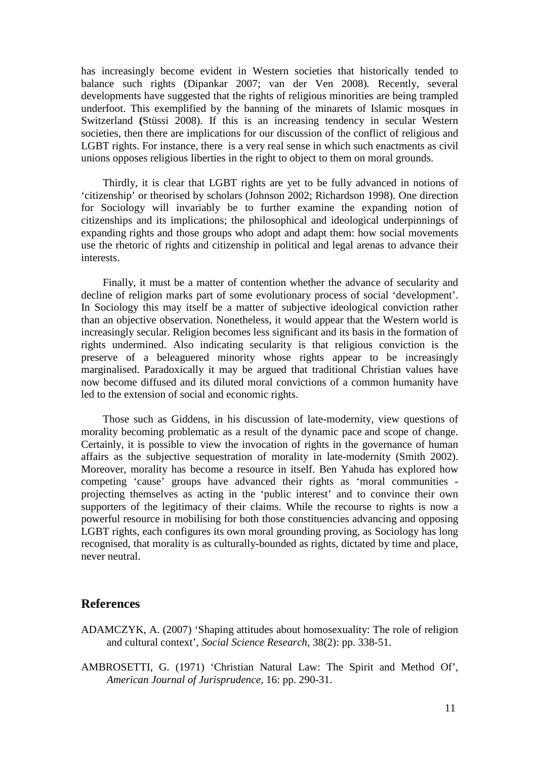has increasingly become evident in Western societies that historically tended to balance such rights (Dipankar 2007; van der Ven 2008)*.* Recently, several developments have suggested that the rights of religious minorities are being trampled underfoot. This exemplified by the banning of the minarets of Islamic mosques in Switzerland **(**Stüssi 2008). If this is an increasing tendency in secular Western societies, then there are implications for our discussion of the conflict of religious and LGBT rights. For instance, there is a very real sense in which such enactments as civil unions opposes religious liberties in the right to object to them on moral grounds.

 Thirdly, it is clear that LGBT rights are yet to be fully advanced in notions of 'citizenship' or theorised by scholars (Johnson 2002; Richardson 1998). One direction for Sociology will invariably be to further examine the expanding notion of citizenships and its implications; the philosophical and ideological underpinnings of expanding rights and those groups who adopt and adapt them: how social movements use the rhetoric of rights and citizenship in political and legal arenas to advance their interests.

 Finally, it must be a matter of contention whether the advance of secularity and decline of religion marks part of some evolutionary process of social 'development'. In Sociology this may itself be a matter of subjective ideological conviction rather than an objective observation. Nonetheless, it would appear that the Western world is increasingly secular. Religion becomes less significant and its basis in the formation of rights undermined. Also indicating secularity is that religious conviction is the preserve of a beleaguered minority whose rights appear to be increasingly marginalised. Paradoxically it may be argued that traditional Christian values have now become diffused and its diluted moral convictions of a common humanity have led to the extension of social and economic rights.

 Those such as Giddens, in his discussion of late-modernity, view questions of morality becoming problematic as a result of the dynamic pace and scope of change. Certainly, it is possible to view the invocation of rights in the governance of human affairs as the subjective sequestration of morality in late-modernity (Smith 2002). Moreover, morality has become a resource in itself. Ben Yahuda has explored how competing 'cause' groups have advanced their rights as 'moral communities projecting themselves as acting in the 'public interest' and to convince their own supporters of the legitimacy of their claims. While the recourse to rights is now a powerful resource in mobilising for both those constituencies advancing and opposing LGBT rights, each configures its own moral grounding proving, as Sociology has long recognised, that morality is as culturally-bounded as rights, dictated by time and place, never neutral.

## **References**

- ADAMCZYK, A. (2007) ['Shaping attitudes about homosexuality: The role of religion](https://elibrary.uwe.ac.uk/V/YPPT2QIVDS6SAQAEMIHNB3TBFVJTND3LYNPPJELJ52FUHE1GTD-19006?func=meta-3&short-format=002&set_number=001102&set_entry=000102&format=999)  [and cultural context'](https://elibrary.uwe.ac.uk/V/YPPT2QIVDS6SAQAEMIHNB3TBFVJTND3LYNPPJELJ52FUHE1GTD-19006?func=meta-3&short-format=002&set_number=001102&set_entry=000102&format=999), *Social Science Research*, 38(2): pp. 338-51.
- AMBROSETTI, G. (1971) 'Christian Natural Law: The Spirit and Method Of', *American Journal of Jurisprudence,* 16: pp. 290-31.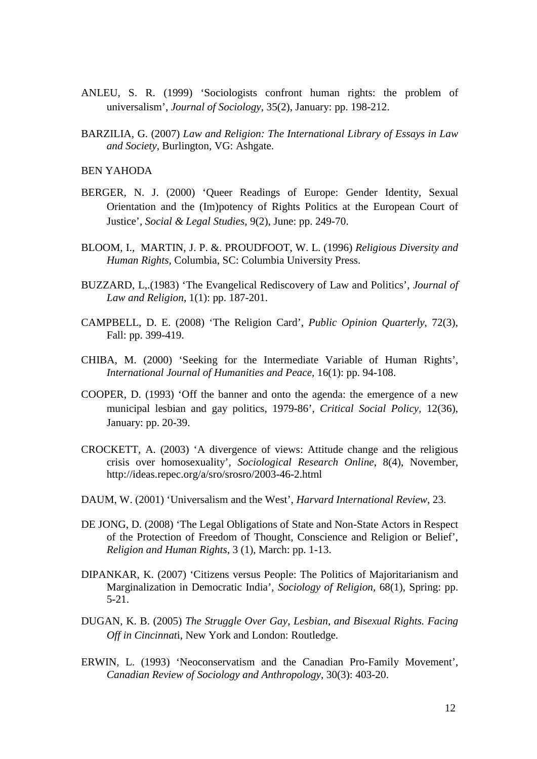- ANLEU, S. R. (1999) 'Sociologists confront human rights: the problem of universalism', *Journal of Sociology,* 35(2), January: pp. 198-212.
- BARZILIA, G. (2007) *Law and Religion: The International Library of Essays in Law and Society*, Burlington, VG: Ashgate.

BEN YAHODA

- BERGER, N. J. (2000) 'Queer Readings of Europe: Gender Identity, Sexual Orientation and the (Im)potency of Rights Politics at the European Court of Justice', *Social & Legal Studies,* 9(2), June: pp. 249-70.
- [BLOOM,](http://www.questia.com/SM.qst?act=adv&contributors=Irene%20Bloom&dcontributors=Irene%20Bloom) I., [MARTIN,](http://www.questia.com/SM.qst?act=adv&contributors=J.%20Paul%20Martin&dcontributors=J.%20Paul%20Martin) J. P. [&. PROUDFOOT,](http://www.questia.com/SM.qst?act=adv&contributors=Wayne%20L.%20Proudfoot&dcontributors=Wayne%20L.%20Proudfoot) W. L. (1996) *Religious Diversity and Human Rights,* Columbia, SC: Columbia University Press.
- BUZZARD, L,.(1983) ['The Evangelical Rediscovery of Law and Politics'](https://elibrary.uwe.ac.uk/V/M5GMUFABEQEUEVA8X8YHI2N1M88A9KD3992A2BLJ2RVDN3C5DD-32473?func=meta-3&short-format=002&set_number=003050&set_entry=000031&format=999), *Journal of Law and Religion*, 1(1): pp. 187-201.
- CAMPBELL, D. E. (2008) 'The Religion Card', *Public Opinion Quarterly*, 72(3), Fall: pp. 399-419.
- [CHIBA,](http://www.questia.com/SM.qst?act=adv&contributors=Masaji%20Chiba&dcontributors=Masaji%20Chiba) M. (2000) ['Seeking for the Intermediate Variable of Human Rights',](http://www.questia.com/read/5001807674?title=Seeking%20for%20the%20Intermediate%20Variable%20of%20Human%20Rights)  *International Journal of Humanities and Peace,* 16(1): pp. 94-108.
- COOPER, D. (1993) 'Off the banner and onto the agenda: the emergence of a new municipal lesbian and gay politics, 1979-86', *Critical Social Policy,* 12(36), January: pp. 20-39.
- CROCKETT, A. (2003) ['A divergence of views: Attitude change and the religious](https://elibrary.uwe.ac.uk/V/M5GMUFABEQEUEVA8X8YHI2N1M88A9KD3992A2BLJ2RVDN3C5DD-63000?func=meta-3&short-format=002&set_number=002435&set_entry=000068&format=999)  [crisis over homosexuality'](https://elibrary.uwe.ac.uk/V/M5GMUFABEQEUEVA8X8YHI2N1M88A9KD3992A2BLJ2RVDN3C5DD-63000?func=meta-3&short-format=002&set_number=002435&set_entry=000068&format=999), *Sociological Research Online*, 8(4), November, http://ideas.repec.org/a/sro/srosro/2003-46-2.html
- DAUM, W. (2001) ['Universalism and the West',](http://www.questia.com/read/5001007143?title=Universalism%20and%20the%20West) *Harvard International Review*, 23.
- DE JONG, D. (2008) ['The Legal Obligations of State and Non-State Actors in Respect](http://brill.publisher.ingentaconnect.com/content/mnp/rhrs/2008/00000003/00000001/art00001)  [of the Protection of Freedom of Thought, Conscience and Religion or Belief'](http://brill.publisher.ingentaconnect.com/content/mnp/rhrs/2008/00000003/00000001/art00001), *[Religion and Human Rights,](http://www.ingentaconnect.com/content/mnp/rhrs)* 3 (1), March: pp. 1-13.
- DIPANKAR, K. (2007) ['Citizens versus People: The Politics of Majoritarianism](http://www.questia.com/read/5028565467?title=Citizens%20versus%20People%3a%20The%20Politics%20of%20Majoritarianism%20and%20Marginalization%20in%20Democratic%20India) and [Marginalization in Democratic India',](http://www.questia.com/read/5028565467?title=Citizens%20versus%20People%3a%20The%20Politics%20of%20Majoritarianism%20and%20Marginalization%20in%20Democratic%20India) *Sociology of Religion*, 68(1), Spring: pp. 5-21.
- DUGAN, K. B. (2005) *The Struggle Over Gay, Lesbian, and Bisexual Rights. Facing Off in Cincinnat*i, New York and London: Routledge.
- [ERWIN,](http://www.questia.com/SM.qst?act=adv&contributors=Lorna%20Erwin&dcontributors=Lorna%20Erwin) L. (1993) ['Neoconservatism and the Canadian Pro-Family Movement',](http://www.questia.com/read/95161660?title=Neoconservatism%20and%20the%20Canadian%20Pro-Family%20Movement)  *Canadian Review of Sociology and Anthropology*, 30(3): 403-20.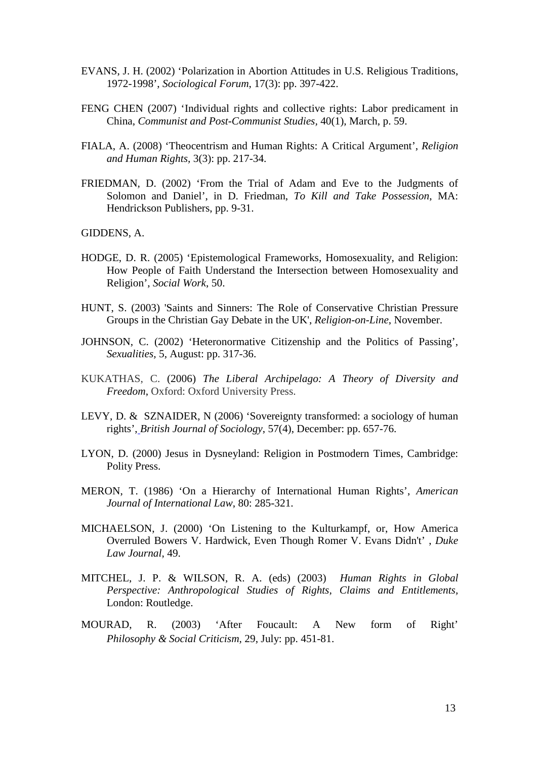- EVANS, J. H. (2002) ['Polarization in Abortion Attitudes in U.S. Religious Traditions,](https://elibrary.uwe.ac.uk/V/M5GMUFABEQEUEVA8X8YHI2N1M88A9KD3992A2BLJ2RVDN3C5DD-62050?func=meta-3&short-format=002&set_number=002435&set_entry=000130&format=999)  [1972-1998'](https://elibrary.uwe.ac.uk/V/M5GMUFABEQEUEVA8X8YHI2N1M88A9KD3992A2BLJ2RVDN3C5DD-62050?func=meta-3&short-format=002&set_number=002435&set_entry=000130&format=999), *Sociological Forum*, 17(3): pp. 397-422.
- FENG CHEN (2007) ['Individual rights and collective rights: Labor predicament in](https://elibrary.uwe.ac.uk/V/R3NQAPBX856JU3GA68XMGMN7YJHT82MHYKKGFIX3MABRRDBJGB-34388?func=meta-3&short-format=002&set_number=000843&set_entry=000039&format=999)  [China,](https://elibrary.uwe.ac.uk/V/R3NQAPBX856JU3GA68XMGMN7YJHT82MHYKKGFIX3MABRRDBJGB-34388?func=meta-3&short-format=002&set_number=000843&set_entry=000039&format=999) *Communist and Post-Communist Studies,* 40(1), March, p. 59.
- FIALA, A. (2008) ['Theocentrism and Human Rights: A Critical Argument'](http://brill.publisher.ingentaconnect.com/content/mnp/rhrs/2008/00000003/00000003/art00002), *[Religion](http://www.ingentaconnect.com/content/mnp/rhrs)  [and Human Rights,](http://www.ingentaconnect.com/content/mnp/rhrs)* 3(3): pp. 217-34.
- FRIEDMAN, D. (2002) 'From the Trial of Adam and Eve to the Judgments of Solomon and Daniel', in D. Friedman, *To Kill and Take Possession*, MA: Hendrickson Publishers, pp. 9-31.

GIDDENS, A.

- [HODGE,](http://www.questia.com/SM.qst?act=adv&contributors=David%20R.%20Hodge&dcontributors=David%20R.%20Hodge) D. R. (2005) ['Epistemological Frameworks, Homosexuality, and Religion:](http://www.questia.com/read/5011599773?title=Epistemological%20Frameworks%2c%20Homosexuality%2c%20and%20Religion%3a%20How%20People%20of%20Faith%20Understand%20the%20Intersection%20between%20Homosexuality%20and%20Religion)  [How People of Faith Understand the Intersection between Homosexuality and](http://www.questia.com/read/5011599773?title=Epistemological%20Frameworks%2c%20Homosexuality%2c%20and%20Religion%3a%20How%20People%20of%20Faith%20Understand%20the%20Intersection%20between%20Homosexuality%20and%20Religion)  [Religion',](http://www.questia.com/read/5011599773?title=Epistemological%20Frameworks%2c%20Homosexuality%2c%20and%20Religion%3a%20How%20People%20of%20Faith%20Understand%20the%20Intersection%20between%20Homosexuality%20and%20Religion) *Social Work*, 50.
- HUNT, S. (2003) 'Saints and Sinners: The Role of Conservative Christian Pressure Groups in the Christian Gay Debate in the UK', *Religion-on-Line*, November.
- JOHNSON, C. (2002) 'Heteronormative Citizenship and the Politics of Passing', *Sexualities,* 5, August: pp. 317-36.
- KUKATHAS, C. (2006) *The Liberal Archipelago: A Theory of Diversity and Freedom*, Oxford: Oxford University Press.
- LEVY, D. & SZNAIDER, N (2006) ['Sovereignty transformed: a sociology of human](https://elibrary.uwe.ac.uk/V/R3NQAPBX856JU3GA68XMGMN7YJHT82MHYKKGFIX3MABRRDBJGB-25514?func=meta-3&short-format=002&set_number=000806&set_entry=000002&format=999)  [rights',](https://elibrary.uwe.ac.uk/V/R3NQAPBX856JU3GA68XMGMN7YJHT82MHYKKGFIX3MABRRDBJGB-25514?func=meta-3&short-format=002&set_number=000806&set_entry=000002&format=999) *British Journal of Sociology*, 57(4), December: pp. 657-76.
- LYON, D. (2000) Jesus in Dysneyland: Religion in Postmodern Times, Cambridge: Polity Press.
- MERON, [T.](http://www.questia.com/SM.qst?act=adv&contributors=Theodor%20Meron&dcontributors=Theodor%20Meron) (1986) ['On a Hierarchy of International Human Rights',](http://www.questia.com/read/79263585?title=On%20a%20Hierarchy%20of%20International%20Human%20Rights) *American Journal of International Law*, 80: 285-321.
- [MICHAELSON,](http://www.questia.com/SM.qst?act=adv&contributors=Jay%20Michaelson&dcontributors=Jay%20Michaelson) J. (2000) ['On Listening to the Kulturkampf, or, How America](http://www.questia.com/read/5001800035?title=On%20Listening%20to%20the%20Kulturkampf%2c%20or%2c%20How%20America%20Overruled%20Bowers%20V.%20Hardwick%2c%20Even%20Though%20Romer%20V.%20Evans%20Didn)  [Overruled Bowers V. Hardwick, Even Though Romer V. Evans Didn't' ,](http://www.questia.com/read/5001800035?title=On%20Listening%20to%20the%20Kulturkampf%2c%20or%2c%20How%20America%20Overruled%20Bowers%20V.%20Hardwick%2c%20Even%20Though%20Romer%20V.%20Evans%20Didn) *Duke Law Journal*, 49.
- [MITCHEL](http://www.questia.com/SM.qst?act=adv&contributors=Jon%20P.%20Mitchell&dcontributors=Jon%20P.%20Mitchell)[, J. P. & WILSON,](http://www.questia.com/SM.qst?act=adv&contributors=Richard%20Ashby%20Wilson&dcontributors=Richard%20Ashby%20Wilson) R. A. (eds) (2003) *[Human Rights in Global](http://www.questia.com/read/104239560?title=Human%20Rights%20in%20Global%20Perspective%3a%20%20Anthropological%20Studies%20of%20Rights%2c%20Claims%20and%20Entitlements)  [Perspective: Anthropological Studies of Rights, Claims and Entitlements,](http://www.questia.com/read/104239560?title=Human%20Rights%20in%20Global%20Perspective%3a%20%20Anthropological%20Studies%20of%20Rights%2c%20Claims%20and%20Entitlements)*  London: Routledge.
- MOURAD, R. (2003) 'After Foucault: A New form of Right' *Philosophy & Social Criticism,* 29, July: pp. 451-81.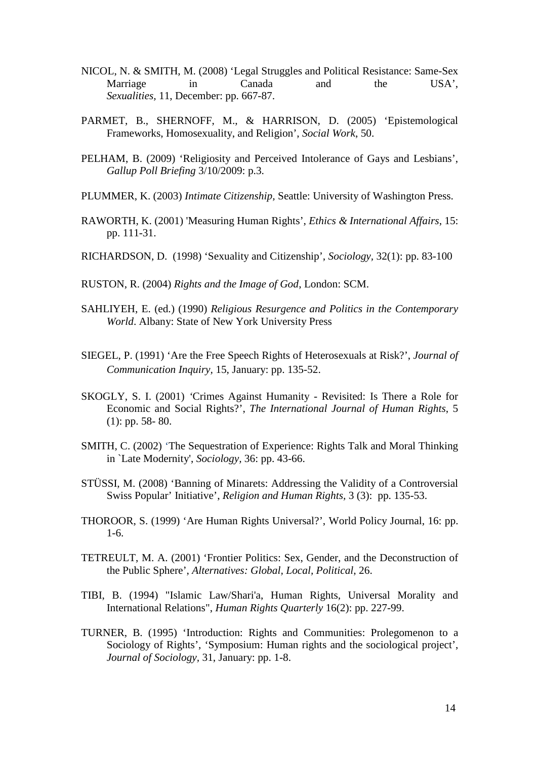- NICOL, N. & SMITH, M. (2008) 'Legal Struggles and Political Resistance: Same-Sex Marriage in Canada and the USA', *Sexualities,* 11, December: pp. 667-87.
- [PARMET,](http://www.questia.com/SM.qst?act=adv&contributors=Belle%20Parmet&dcontributors=Belle%20Parmet) B., [SHERNOFF,](http://www.questia.com/SM.qst?act=adv&contributors=Michael%20Shernoff&dcontributors=Michael%20Shernoff) M., & [HARRISON,](http://www.questia.com/SM.qst?act=adv&contributors=David%20Harrison&dcontributors=David%20Harrison) D. (2005) ['Epistemological](http://www.questia.com/read/5016687925?title=Epistemological%20Frameworks%2c%20Homosexuality%2c%20and%20Religion)  [Frameworks, Homosexuality, and Religion',](http://www.questia.com/read/5016687925?title=Epistemological%20Frameworks%2c%20Homosexuality%2c%20and%20Religion) *Social Work*, 50.
- PELHAM, B. (2009) ['Religiosity and Perceived Intolerance of Gays and Lesbians',](https://elibrary.uwe.ac.uk/V/YPPT2QIVDS6SAQAEMIHNB3TBFVJTND3LYNPPJELJ52FUHE1GTD-05286?func=meta-3&short-format=002&set_number=001102&set_entry=000007&format=999)  *Gallup Poll Briefing* 3/10/2009: p.3.
- PLUMMER, K. (2003) *Intimate Citizenship,* Seattle: University of Washington Press.
- [RAWORTH,](http://www.questia.com/SM.qst?act=adv&contributors=Kate%20Raworth&dcontributors=Kate%20Raworth) K. (2001) 'Measuring Human Right[s',](http://www.questia.com/read/5002428200?title=Measuring%20Human%20Rights) *Ethics & International Affairs*, 15: pp. 111-31.
- RICHARDSON, D. (1998) 'Sexuality and Citizenship', *Sociology,* 32(1): pp. 83-100
- RUSTON, R. (2004) *Rights and the Image of God*, London: SCM.
- SAHLIYEH, E. (ed.) (1990) *Religious Resurgence and Politics in the Contemporary World*. Albany: State of New York University Press
- SIEGEL, P. (1991) 'Are the Free Speech Rights of Heterosexuals at Risk?', *Journal of Communication Inquiry,* 15, January: pp. 135-52.
- SKOGLY, S. I. (2001) *'*Crimes Against Humanity [Revisited: Is There a Role for](http://www.informaworld.com/smpp/content~db=all~content=a714003700)  [Economic and Social Rights?'](http://www.informaworld.com/smpp/content~db=all~content=a714003700), *The International Journal of Human Rights*, [5](http://www.informaworld.com/smpp/title~db=all~content=t713635869~tab=issueslist~branches=5#v5) (1): pp. 58- 80.
- SMITH, C. (2002) 'The Sequestration of Experience: Rights Talk and Moral Thinking in `Late Modernity', *Sociology,* 36: pp. 43-66.
- STÜSSI, M. (2008) ['Banning of Minarets: Addressing the Validity of a Controversial](http://brill.publisher.ingentaconnect.com/content/mnp/rhrs/2008/00000003/00000002/art00002)  [Swiss Popular' Initiative'](http://brill.publisher.ingentaconnect.com/content/mnp/rhrs/2008/00000003/00000002/art00002), *[Religion and Human Rights,](http://www.ingentaconnect.com/content/mnp/rhrs)* 3 (3): pp. 135-53.
- THOROOR, S. (1999) 'Are Human Rights Universal?', World Policy Journal, 16: pp. 1-6.
- TETREULT, M. A. (2001) ['Frontier Politics: Sex, Gender, and the Deconstruction of](http://www.questia.com/read/5002398028?title=Frontier%20Politics%3a%20Sex%2c%20Gender%2c%20and%20the%20Deconstruction%20of%20the%20Public%20Sphere%20%5b1%5d)  [the Public Sphere',](http://www.questia.com/read/5002398028?title=Frontier%20Politics%3a%20Sex%2c%20Gender%2c%20and%20the%20Deconstruction%20of%20the%20Public%20Sphere%20%5b1%5d) *Alternatives: Global, Local, Political*, 26.
- TIBI, B. (1994) "Islamic Law/Shari'a, Human Rights, Universal Morality and International Relations", *Human Rights Quarterly* 16(2): pp. 227-99.
- TURNER, B. (1995) 'Introduction: Rights and Communities: Prolegomenon to a Sociology of Rights', 'Symposium: Human rights and the sociological project', *Journal of Sociology,* 31, January: pp. 1-8.